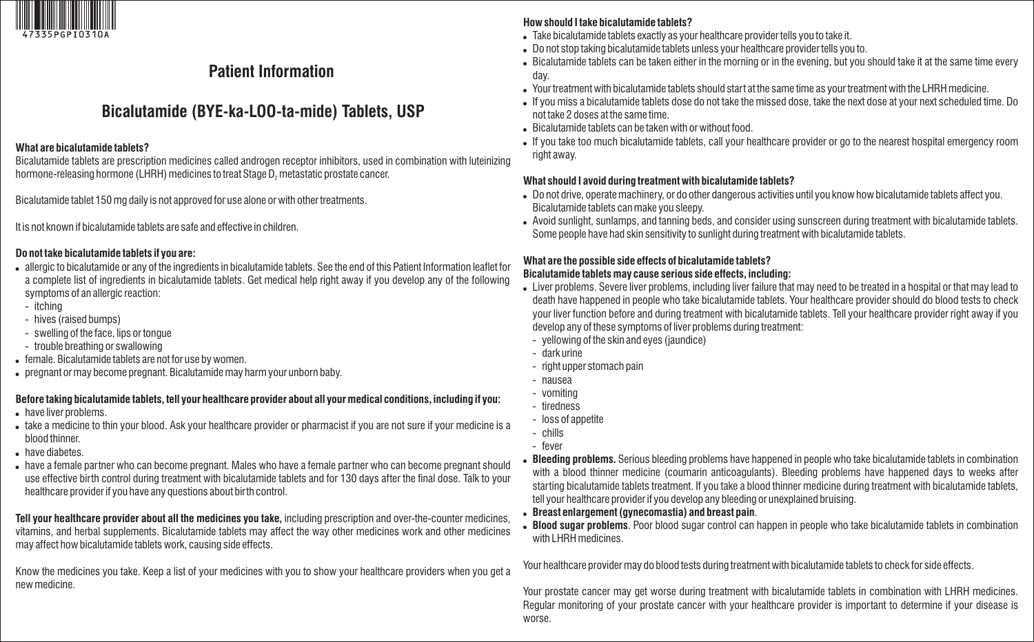

# **Patient Information**

# **Bicalutamide (BYE-ka-LOO-ta-mide) Tablets, USP**

#### **What are bicalutamide tablets?**

Bicalutamide tablets are prescription medicines called androgen receptor inhibitors, used in combination with luteinizing hormone-releasing hormone (LHRH) medicines to treat Stage D<sub>2</sub> metastatic prostate cancer.

Bicalutamide tablet 150 mg daily is not approved for use alone or with other treatments.

It is not known if bicalutamide tablets are safe and effective in children.

#### **Do not take bicalutamide tablets if you are:**

- allergic to bicalutamide or any of the ingredients in bicalutamide tablets. See the end of this Patient Information leaflet for a complete list of ingredients in bicalutamide tablets. Get medical help right away if you develop any of the following symptoms of an allergic reaction:
- itching
- hives (raised bumps)
- swelling of the face, lips or tongue
- trouble breathing or swallowing
- female. Bicalutamide tablets are not for use by women.
- pregnant or may become pregnant. Bicalutamide may harm your unborn baby.

## **Before taking bicalutamide tablets, tell your healthcare provider about all your medical conditions, including if you:**

- have liver problems.
- take a medicine to thin your blood. Ask your healthcare provider or pharmacist if you are not sure if your medicine is a blood thinner.
- have diabetes.
- have a female partner who can become pregnant. Males who have a female partner who can become pregnant should use effective birth control during treatment with bicalutamide tablets and for 130 days after the final dose. Talk to your healthcare provider if you have any questions about birth control.

**Tell your healthcare provider about all the medicines you take,** including prescription and over-the-counter medicines, vitamins, and herbal supplements. Bicalutamide tablets may affect the way other medicines work and other medicines may affect how bicalutamide tablets work, causing side effects.

Know the medicines you take. Keep a list of your medicines with you to show your healthcare providers when you get a new medicine.

## **How should I take bicalutamide tablets?**

- Take bicalutamide tablets exactly as your healthcare provider tells you to take it.
- Do not stop taking bicalutamide tablets unless your healthcare provider tells you to.
- Bicalutamide tablets can be taken either in the morning or in the evening, but you should take it at the same time every day.
- Your treatment with bicalutamide tablets should start at the same time as your treatment with the LHRH medicine.
- If you miss a bicalutamide tablets dose do not take the missed dose, take the next dose at your next scheduled time. Do not take 2 doses at the same time.
- Bicalutamide tablets can be taken with or without food.
- If you take too much bicalutamide tablets, call your healthcare provider or go to the nearest hospital emergency room right away.

## **What should I avoid during treatment with bicalutamide tablets?**

- Do not drive, operate machinery, or do other dangerous activities until you know how bicalutamide tablets affect you. Bicalutamide tablets can make you sleepy.
- Avoid sunlight, sunlamps, and tanning beds, and consider using sunscreen during treatment with bicalutamide tablets. Some people have had skin sensitivity to sunlight during treatment with bicalutamide tablets.

# **What are the possible side effects of bicalutamide tablets?**

## **Bicalutamide tablets may cause serious side effects, including:**

- Liver problems. Severe liver problems, including liver failure that may need to be treated in a hospital or that may lead to death have happened in people who take bicalutamide tablets. Your healthcare provider should do blood tests to check your liver function before and during treatment with bicalutamide tablets. Tell your healthcare provider right away if you develop any of these symptoms of liver problems during treatment:
	- yellowing of the skin and eyes (jaundice)
	- dark urine
	- right upper stomach pain
	- nausea
	- vomiting
	- tiredness
	- loss of appetite
- chills - fever
- 
- **Bleeding problems.** Serious bleeding problems have happened in people who take bicalutamide tablets in combination with a blood thinner medicine (coumarin anticoagulants). Bleeding problems have happened days to weeks after starting bicalutamide tablets treatment. If you take a blood thinner medicine during treatment with bicalutamide tablets, tell your healthcare provider if you develop any bleeding or unexplained bruising.
- **Breast enlargement (gynecomastia) and breast pain**.
- **Blood sugar problems**. Poor blood sugar control can happen in people who take bicalutamide tablets in combination with LHRH medicines.

Your healthcare provider may do blood tests during treatment with bicalutamide tablets to check for side effects.

Your prostate cancer may get worse during treatment with bicalutamide tablets in combination with LHRH medicines. Regular monitoring of your prostate cancer with your healthcare provider is important to determine if your disease is worse.